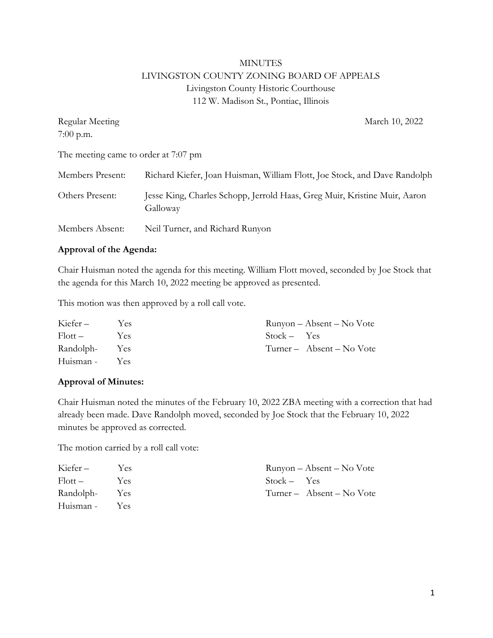# MINUTES LIVINGSTON COUNTY ZONING BOARD OF APPEALS Livingston County Historic Courthouse 112 W. Madison St., Pontiac, Illinois

| Regular Meeting                      | March 10, 2022                                                                        |
|--------------------------------------|---------------------------------------------------------------------------------------|
| $7:00$ p.m.                          |                                                                                       |
| The meeting came to order at 7:07 pm |                                                                                       |
| Members Present:                     | Richard Kiefer, Joan Huisman, William Flott, Joe Stock, and Dave Randolph             |
| Others Present:                      | Jesse King, Charles Schopp, Jerrold Haas, Greg Muir, Kristine Muir, Aaron<br>Galloway |
| Members Absent:                      | Neil Turner, and Richard Runyon                                                       |

## **Approval of the Agenda:**

Chair Huisman noted the agenda for this meeting. William Flott moved, seconded by Joe Stock that the agenda for this March 10, 2022 meeting be approved as presented.

This motion was then approved by a roll call vote.

| Kiefer –      | Yes.       |               | Runyon – Absent – No Vote |
|---------------|------------|---------------|---------------------------|
| $Flott -$     | <b>Yes</b> | $Stock - Yes$ |                           |
| Randolph- Yes |            |               | Turner – Absent – No Vote |
| Huisman - Yes |            |               |                           |

#### **Approval of Minutes:**

Chair Huisman noted the minutes of the February 10, 2022 ZBA meeting with a correction that had already been made. Dave Randolph moved, seconded by Joe Stock that the February 10, 2022 minutes be approved as corrected.

The motion carried by a roll call vote:

| Kiefer –      | Yes. |               | Runyon – Absent – No Vote |
|---------------|------|---------------|---------------------------|
| Flott –       | Yes  | $Stock - Yes$ |                           |
| Randolph- Yes |      |               | Turner – Absent – No Vote |
| Huisman - Yes |      |               |                           |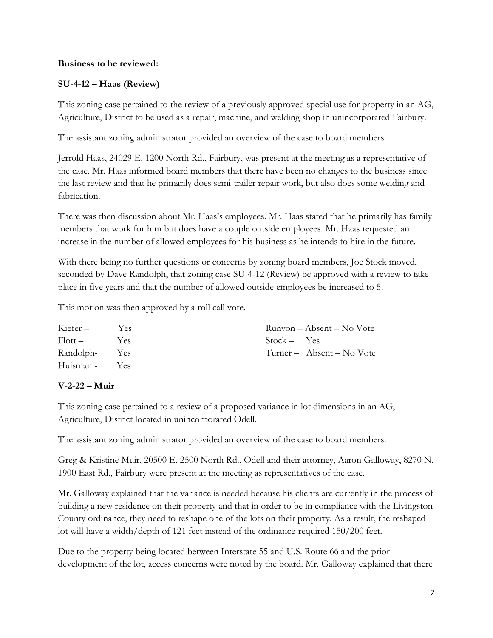## **Business to be reviewed:**

## **SU-4-12 – Haas (Review)**

This zoning case pertained to the review of a previously approved special use for property in an AG, Agriculture, District to be used as a repair, machine, and welding shop in unincorporated Fairbury.

The assistant zoning administrator provided an overview of the case to board members.

Jerrold Haas, 24029 E. 1200 North Rd., Fairbury, was present at the meeting as a representative of the case. Mr. Haas informed board members that there have been no changes to the business since the last review and that he primarily does semi-trailer repair work, but also does some welding and fabrication.

There was then discussion about Mr. Haas's employees. Mr. Haas stated that he primarily has family members that work for him but does have a couple outside employees. Mr. Haas requested an increase in the number of allowed employees for his business as he intends to hire in the future.

With there being no further questions or concerns by zoning board members, Joe Stock moved, seconded by Dave Randolph, that zoning case SU-4-12 (Review) be approved with a review to take place in five years and that the number of allowed outside employees be increased to 5.

This motion was then approved by a roll call vote.

| Kiefer –      | Yes. |               | Runyon – Absent – No Vote |
|---------------|------|---------------|---------------------------|
| $Flott -$     | Yes  | $Stock - Yes$ |                           |
| Randolph- Yes |      |               | Turner – Absent – No Vote |
| Huisman - Yes |      |               |                           |

## **V-2-22 – Muir**

This zoning case pertained to a review of a proposed variance in lot dimensions in an AG, Agriculture, District located in unincorporated Odell.

The assistant zoning administrator provided an overview of the case to board members.

Greg & Kristine Muir, 20500 E. 2500 North Rd., Odell and their attorney, Aaron Galloway, 8270 N. 1900 East Rd., Fairbury were present at the meeting as representatives of the case.

Mr. Galloway explained that the variance is needed because his clients are currently in the process of building a new residence on their property and that in order to be in compliance with the Livingston County ordinance, they need to reshape one of the lots on their property. As a result, the reshaped lot will have a width/depth of 121 feet instead of the ordinance-required 150/200 feet.

Due to the property being located between Interstate 55 and U.S. Route 66 and the prior development of the lot, access concerns were noted by the board. Mr. Galloway explained that there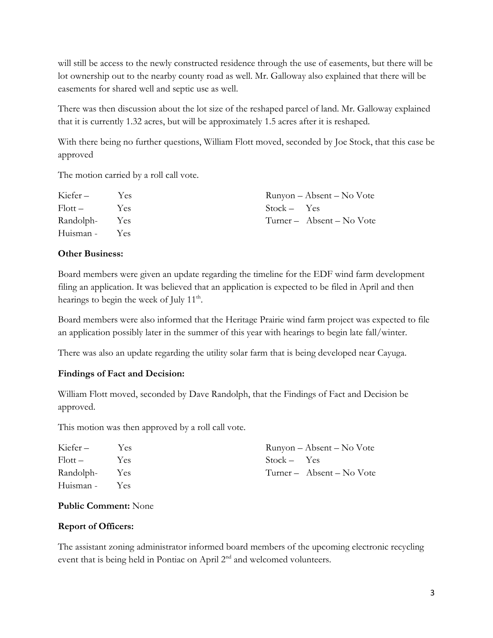will still be access to the newly constructed residence through the use of easements, but there will be lot ownership out to the nearby county road as well. Mr. Galloway also explained that there will be easements for shared well and septic use as well.

There was then discussion about the lot size of the reshaped parcel of land. Mr. Galloway explained that it is currently 1.32 acres, but will be approximately 1.5 acres after it is reshaped.

With there being no further questions, William Flott moved, seconded by Joe Stock, that this case be approved

The motion carried by a roll call vote.

| Kiefer –      | Yes.       |               | Runyon – Absent – No Vote   |
|---------------|------------|---------------|-----------------------------|
| Flott –       | Yes        | $Stock - Yes$ |                             |
| Randolph- Yes |            |               | $Turner - Absent - No Vote$ |
| Huisman -     | <b>Yes</b> |               |                             |

## **Other Business:**

Board members were given an update regarding the timeline for the EDF wind farm development filing an application. It was believed that an application is expected to be filed in April and then hearings to begin the week of July  $11<sup>th</sup>$ .

Board members were also informed that the Heritage Prairie wind farm project was expected to file an application possibly later in the summer of this year with hearings to begin late fall/winter.

There was also an update regarding the utility solar farm that is being developed near Cayuga.

#### **Findings of Fact and Decision:**

William Flott moved, seconded by Dave Randolph, that the Findings of Fact and Decision be approved.

This motion was then approved by a roll call vote.

| Kiefer –      | Yes        |               | Runyon – Absent – No Vote |
|---------------|------------|---------------|---------------------------|
| Flott –       | Yes        | $Stock - Yes$ |                           |
| Randolph- Yes |            |               | Turner – Absent – No Vote |
| Huisman -     | <b>Yes</b> |               |                           |

#### **Public Comment:** None

#### **Report of Officers:**

The assistant zoning administrator informed board members of the upcoming electronic recycling event that is being held in Pontiac on April 2<sup>nd</sup> and welcomed volunteers.